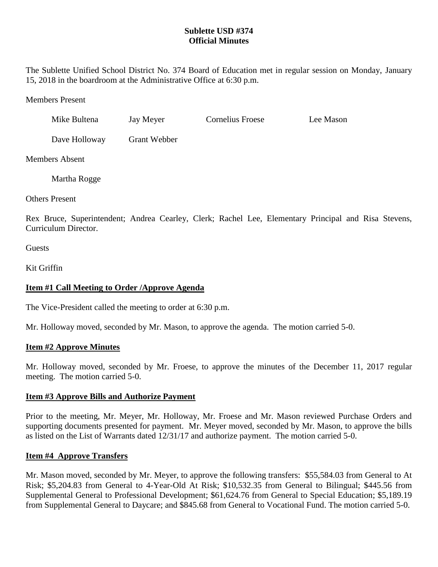# **Sublette USD #374 Official Minutes**

The Sublette Unified School District No. 374 Board of Education met in regular session on Monday, January 15, 2018 in the boardroom at the Administrative Office at 6:30 p.m.

Members Present

| Mike Bultena  | Jay Meyer    | Cornelius Froese | Lee Mason |
|---------------|--------------|------------------|-----------|
| Dave Holloway | Grant Webber |                  |           |

Members Absent

Martha Rogge

Others Present

Rex Bruce, Superintendent; Andrea Cearley, Clerk; Rachel Lee, Elementary Principal and Risa Stevens, Curriculum Director.

**Guests** 

Kit Griffin

# **Item #1 Call Meeting to Order /Approve Agenda**

The Vice-President called the meeting to order at 6:30 p.m.

Mr. Holloway moved, seconded by Mr. Mason, to approve the agenda. The motion carried 5-0.

## **Item #2 Approve Minutes**

Mr. Holloway moved, seconded by Mr. Froese, to approve the minutes of the December 11, 2017 regular meeting. The motion carried 5-0.

# **Item #3 Approve Bills and Authorize Payment**

Prior to the meeting, Mr. Meyer, Mr. Holloway, Mr. Froese and Mr. Mason reviewed Purchase Orders and supporting documents presented for payment. Mr. Meyer moved, seconded by Mr. Mason, to approve the bills as listed on the List of Warrants dated 12/31/17 and authorize payment. The motion carried 5-0.

# **Item #4 Approve Transfers**

Mr. Mason moved, seconded by Mr. Meyer, to approve the following transfers: \$55,584.03 from General to At Risk; \$5,204.83 from General to 4-Year-Old At Risk; \$10,532.35 from General to Bilingual; \$445.56 from Supplemental General to Professional Development; \$61,624.76 from General to Special Education; \$5,189.19 from Supplemental General to Daycare; and \$845.68 from General to Vocational Fund. The motion carried 5-0.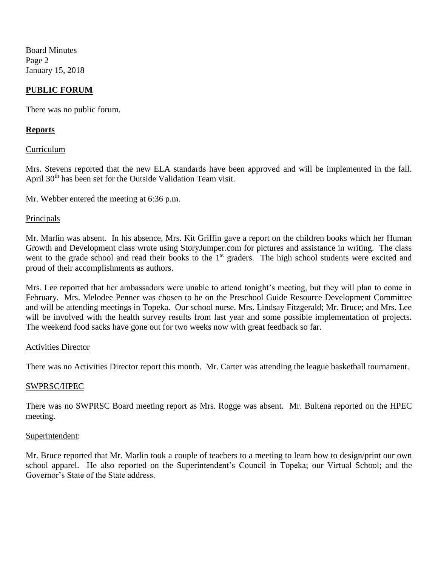Board Minutes Page 2 January 15, 2018

## **PUBLIC FORUM**

There was no public forum.

## **Reports**

### Curriculum

Mrs. Stevens reported that the new ELA standards have been approved and will be implemented in the fall. April 30<sup>th</sup> has been set for the Outside Validation Team visit.

Mr. Webber entered the meeting at 6:36 p.m.

### Principals

Mr. Marlin was absent. In his absence, Mrs. Kit Griffin gave a report on the children books which her Human Growth and Development class wrote using StoryJumper.com for pictures and assistance in writing. The class went to the grade school and read their books to the  $1<sup>st</sup>$  graders. The high school students were excited and proud of their accomplishments as authors.

Mrs. Lee reported that her ambassadors were unable to attend tonight's meeting, but they will plan to come in February. Mrs. Melodee Penner was chosen to be on the Preschool Guide Resource Development Committee and will be attending meetings in Topeka. Our school nurse, Mrs. Lindsay Fitzgerald; Mr. Bruce; and Mrs. Lee will be involved with the health survey results from last year and some possible implementation of projects. The weekend food sacks have gone out for two weeks now with great feedback so far.

#### Activities Director

There was no Activities Director report this month. Mr. Carter was attending the league basketball tournament.

## SWPRSC/HPEC

There was no SWPRSC Board meeting report as Mrs. Rogge was absent. Mr. Bultena reported on the HPEC meeting.

#### Superintendent:

Mr. Bruce reported that Mr. Marlin took a couple of teachers to a meeting to learn how to design/print our own school apparel. He also reported on the Superintendent's Council in Topeka; our Virtual School; and the Governor's State of the State address.